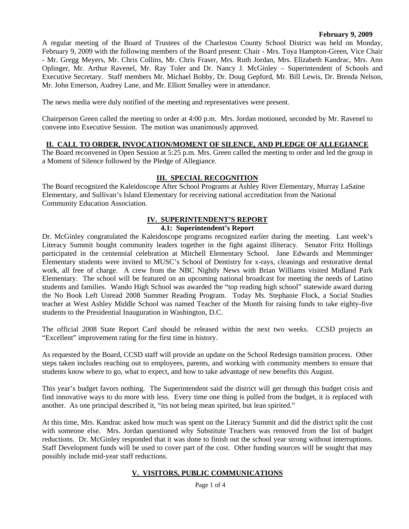#### **February 9, 2009**

A regular meeting of the Board of Trustees of the Charleston County School District was held on Monday, February 9, 2009 with the following members of the Board present: Chair - Mrs. Toya Hampton-Green, Vice Chair - Mr. Gregg Meyers, Mr. Chris Collins, Mr. Chris Fraser, Mrs. Ruth Jordan, Mrs. Elizabeth Kandrac, Mrs. Ann Oplinger, Mr. Arthur Ravenel, Mr. Ray Toler and Dr. Nancy J. McGinley – Superintendent of Schools and Executive Secretary. Staff members Mr. Michael Bobby, Dr. Doug Gepford, Mr. Bill Lewis, Dr. Brenda Nelson, Mr. John Emerson, Audrey Lane, and Mr. Elliott Smalley were in attendance.

The news media were duly notified of the meeting and representatives were present.

Chairperson Green called the meeting to order at 4:00 p.m. Mrs. Jordan motioned, seconded by Mr. Ravenel to convene into Executive Session. The motion was unanimously approved.

## **II. CALL TO ORDER, INVOCATION/MOMENT OF SILENCE, AND PLEDGE OF ALLEGIANCE**

The Board reconvened in Open Session at 5:25 p.m. Mrs. Green called the meeting to order and led the group in a Moment of Silence followed by the Pledge of Allegiance.

## **III. SPECIAL RECOGNITION**

The Board recognized the Kaleidoscope After School Programs at Ashley River Elementary, Murray LaSaine Elementary, and Sullivan's Island Elementary for receiving national accreditation from the National Community Education Association.

## **IV. SUPERINTENDENT'S REPORT**

#### **4.1: Superintendent's Report**

Dr. McGinley congratulated the Kaleidoscope programs recognized earlier during the meeting. Last week's Literacy Summit bought community leaders together in the fight against illiteracy. Senator Fritz Hollings participated in the centennial celebration at Mitchell Elementary School. Jane Edwards and Memminger Elementary students were invited to MUSC's School of Dentistry for x-rays, cleanings and restorative dental work, all free of charge. A crew from the NBC Nightly News with Brian Williams visited Midland Park Elementary. The school will be featured on an upcoming national broadcast for meeting the needs of Latino students and families. Wando High School was awarded the "top reading high school" statewide award during the No Book Left Unread 2008 Summer Reading Program. Today Ms. Stephanie Flock, a Social Studies teacher at West Ashley Middle School was named Teacher of the Month for raising funds to take eighty-five students to the Presidential Inauguration in Washington, D.C.

The official 2008 State Report Card should be released within the next two weeks. CCSD projects an "Excellent" improvement rating for the first time in history.

As requested by the Board, CCSD staff will provide an update on the School Redesign transition process. Other steps taken includes reaching out to employees, parents, and working with community members to ensure that students know where to go, what to expect, and how to take advantage of new benefits this August.

This year's budget favors nothing. The Superintendent said the district will get through this budget crisis and find innovative ways to do more with less. Every time one thing is pulled from the budget, it is replaced with another. As one principal described it, "its not being mean spirited, but lean spirited."

At this time, Mrs. Kandrac asked how much was spent on the Literacy Summit and did the district split the cost with someone else. Mrs. Jordan questioned why Substitute Teachers was removed from the list of budget reductions. Dr. McGinley responded that it was done to finish out the school year strong without interruptions. Staff Development funds will be used to cover part of the cost. Other funding sources will be sought that may possibly include mid-year staff reductions.

#### **V. VISITORS, PUBLIC COMMUNICATIONS**

Page 1 of 4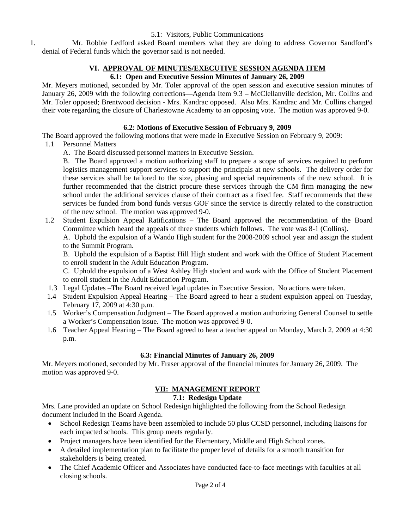5.1: Visitors, Public Communications

1. Mr. Robbie Ledford asked Board members what they are doing to address Governor Sandford's denial of Federal funds which the governor said is not needed.

# **VI. APPROVAL OF MINUTES/EXECUTIVE SESSION AGENDA ITEM**

# **6.1: Open and Executive Session Minutes of January 26, 2009**

Mr. Meyers motioned, seconded by Mr. Toler approval of the open session and executive session minutes of January 26, 2009 with the following corrections—Agenda Item 9.3 – McClellanville decision, Mr. Collins and Mr. Toler opposed; Brentwood decision - Mrs. Kandrac opposed. Also Mrs. Kandrac and Mr. Collins changed their vote regarding the closure of Charlestowne Academy to an opposing vote. The motion was approved 9-0.

# **6.2: Motions of Executive Session of February 9, 2009**

The Board approved the following motions that were made in Executive Session on February 9, 2009:

- 1.1 Personnel Matters
	- A. The Board discussed personnel matters in Executive Session.

B. The Board approved a motion authorizing staff to prepare a scope of services required to perform logistics management support services to support the principals at new schools. The delivery order for these services shall be tailored to the size, phasing and special requirements of the new school. It is further recommended that the district procure these services through the CM firm managing the new school under the additional services clause of their contract as a fixed fee. Staff recommends that these services be funded from bond funds versus GOF since the service is directly related to the construction of the new school. The motion was approved 9-0.

1.2 Student Expulsion Appeal Ratifications – The Board approved the recommendation of the Board Committee which heard the appeals of three students which follows. The vote was 8-1 (Collins). A. Uphold the expulsion of a Wando High student for the 2008-2009 school year and assign the student to the Summit Program.

 B. Uphold the expulsion of a Baptist Hill High student and work with the Office of Student Placement to enroll student in the Adult Education Program.

 C. Uphold the expulsion of a West Ashley High student and work with the Office of Student Placement to enroll student in the Adult Education Program.

- 1.3 Legal Updates –The Board received legal updates in Executive Session. No actions were taken.
- 1.4 Student Expulsion Appeal Hearing The Board agreed to hear a student expulsion appeal on Tuesday, February 17, 2009 at 4:30 p.m.
- 1.5 Worker's Compensation Judgment The Board approved a motion authorizing General Counsel to settle a Worker's Compensation issue. The motion was approved 9-0.
- 1.6 Teacher Appeal Hearing The Board agreed to hear a teacher appeal on Monday, March 2, 2009 at 4:30 p.m.

# **6.3: Financial Minutes of January 26, 2009**

Mr. Meyers motioned, seconded by Mr. Fraser approval of the financial minutes for January 26, 2009. The motion was approved 9-0.

# **VII: MANAGEMENT REPORT**

## **7.1: Redesign Update**

Mrs. Lane provided an update on School Redesign highlighted the following from the School Redesign document included in the Board Agenda.

- School Redesign Teams have been assembled to include 50 plus CCSD personnel, including liaisons for each impacted schools. This group meets regularly.
- Project managers have been identified for the Elementary, Middle and High School zones.
- A detailed implementation plan to facilitate the proper level of details for a smooth transition for stakeholders is being created.
- The Chief Academic Officer and Associates have conducted face-to-face meetings with faculties at all closing schools.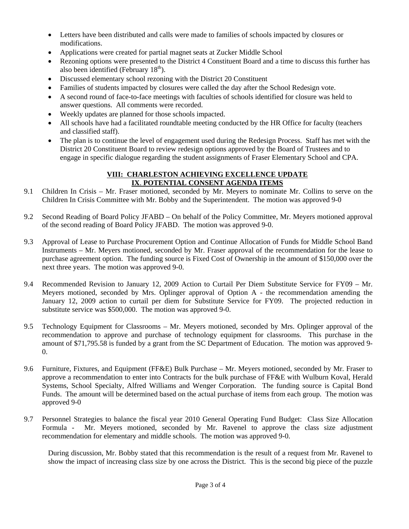- Letters have been distributed and calls were made to families of schools impacted by closures or modifications.
- Applications were created for partial magnet seats at Zucker Middle School
- Rezoning options were presented to the District 4 Constituent Board and a time to discuss this further has also been identified (February  $18<sup>th</sup>$ ).
- Discussed elementary school rezoning with the District 20 Constituent
- Families of students impacted by closures were called the day after the School Redesign vote.
- A second round of face-to-face meetings with faculties of schools identified for closure was held to answer questions. All comments were recorded.
- Weekly updates are planned for those schools impacted.
- All schools have had a facilitated roundtable meeting conducted by the HR Office for faculty (teachers and classified staff).
- The plan is to continue the level of engagement used during the Redesign Process. Staff has met with the District 20 Constituent Board to review redesign options approved by the Board of Trustees and to engage in specific dialogue regarding the student assignments of Fraser Elementary School and CPA.

## **VIII: CHARLESTON ACHIEVING EXCELLENCE UPDATE IX**. **POTENTIAL CONSENT AGENDA ITEMS**

- 9.1 Children In Crisis Mr. Fraser motioned, seconded by Mr. Meyers to nominate Mr. Collins to serve on the Children In Crisis Committee with Mr. Bobby and the Superintendent. The motion was approved 9-0
- 9.2 Second Reading of Board Policy JFABD On behalf of the Policy Committee, Mr. Meyers motioned approval of the second reading of Board Policy JFABD. The motion was approved 9-0.
- 9.3 Approval of Lease to Purchase Procurement Option and Continue Allocation of Funds for Middle School Band Instruments – Mr. Meyers motioned, seconded by Mr. Fraser approval of the recommendation for the lease to purchase agreement option. The funding source is Fixed Cost of Ownership in the amount of \$150,000 over the next three years. The motion was approved 9-0.
- 9.4 Recommended Revision to January 12, 2009 Action to Curtail Per Diem Substitute Service for FY09 Mr. Meyers motioned, seconded by Mrs. Oplinger approval of Option A - the recommendation amending the January 12, 2009 action to curtail per diem for Substitute Service for FY09. The projected reduction in substitute service was \$500,000. The motion was approved 9-0.
- 9.5 Technology Equipment for Classrooms Mr. Meyers motioned, seconded by Mrs. Oplinger approval of the recommendation to approve and purchase of technology equipment for classrooms. This purchase in the amount of \$71,795.58 is funded by a grant from the SC Department of Education. The motion was approved 9- 0.
- 9.6 Furniture, Fixtures, and Equipment (FF&E) Bulk Purchase Mr. Meyers motioned, seconded by Mr. Fraser to approve a recommendation to enter into Contracts for the bulk purchase of FF&E with Wulburn Koval, Herald Systems, School Specialty, Alfred Williams and Wenger Corporation. The funding source is Capital Bond Funds. The amount will be determined based on the actual purchase of items from each group. The motion was approved 9-0
- 9.7 Personnel Strategies to balance the fiscal year 2010 General Operating Fund Budget: Class Size Allocation Formula - Mr. Meyers motioned, seconded by Mr. Ravenel to approve the class size adjustment recommendation for elementary and middle schools. The motion was approved 9-0.

During discussion, Mr. Bobby stated that this recommendation is the result of a request from Mr. Ravenel to show the impact of increasing class size by one across the District. This is the second big piece of the puzzle